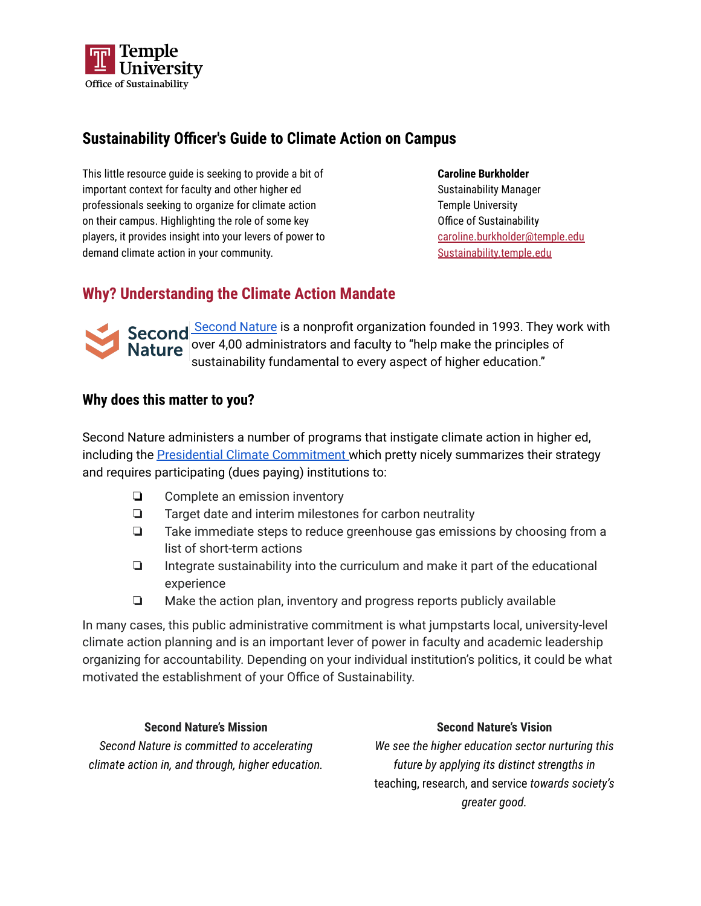

### **Sustainability Officer's Guide to Climate Action on Campus**

This little resource guide is seeking to provide a bit of important context for faculty and other higher ed professionals seeking to organize for climate action on their campus. Highlighting the role of some key players, it provides insight into your levers of power to demand climate action in your community.

**Caroline Burkholder** Sustainability Manager Temple University Office of Sustainability [caroline.burkholder@temple.edu](mailto:caroline.burkholder@temple.edu) [Sustainability.temple.edu](https://sustainability.temple.edu/)

## **Why? Understanding the Climate Action Mandate**



[Second](https://secondnature.org/mission/) Second Nature is a nonprofit organization founded in 1993. They work with **Nature** over 4,00 administrators and faculty to "help make the principles of sustainability fundamental to every aspect of higher education."

### **Why does this matter to you?**

Second Nature administers a number of programs that instigate climate action in higher ed, including the Presidential Climate [Commitment](https://secondnature.org/signatory-handbook/the-commitments/) which pretty nicely summarizes their strategy and requires participating (dues paying) institutions to:

- ❏ Complete an emission inventory
- ❏ Target date and interim milestones for carbon neutrality
- ❏ Take immediate steps to reduce greenhouse gas emissions by choosing from a list of short-term actions
- ❏ Integrate sustainability into the curriculum and make it part of the educational experience
- ❏ Make the action plan, inventory and progress reports publicly available

In many cases, this public administrative commitment is what jumpstarts local, university-level climate action planning and is an important lever of power in faculty and academic leadership organizing for accountability. Depending on your individual institution's politics, it could be what motivated the establishment of your Office of Sustainability.

#### **Second Nature's Mission**

*Second Nature is committed to accelerating climate action in, and through, higher education.*

#### **Second Nature's Vision**

*We see the higher education sector nurturing this future by applying its distinct strengths in* teaching, research, and service *towards society's greater good.*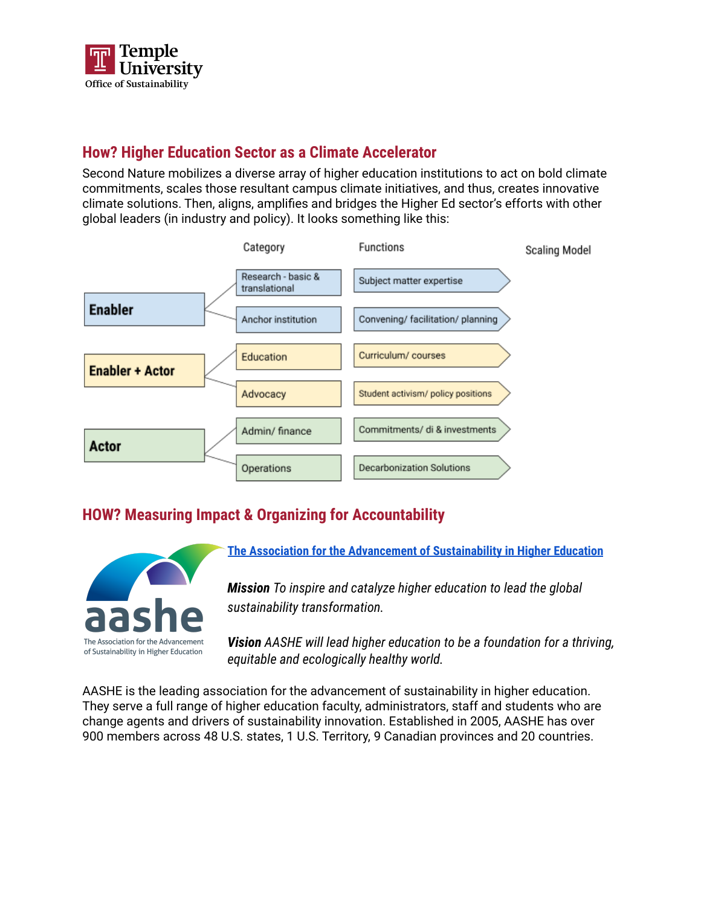

## **How? Higher Education Sector as a Climate Accelerator**

Second Nature mobilizes a diverse array of higher education institutions to act on bold climate commitments, scales those resultant campus climate initiatives, and thus, creates innovative climate solutions. Then, aligns, amplifies and bridges the Higher Ed sector's efforts with other global leaders (in industry and policy). It looks something like this:



# **HOW? Measuring Impact & Organizing for Accountability**



**The Association for the Advancement of [Sustainability](https://www.aashe.org/) in Higher Education**

*Mission To inspire and catalyze higher education to lead the global sustainability transformation.*

*Vision AASHE will lead higher education to be a foundation for a thriving, equitable and ecologically healthy world.*

AASHE is the leading association for the advancement of sustainability in higher education. They serve a full range of higher education faculty, administrators, staff and students who are change agents and drivers of sustainability innovation. Established in 2005, AASHE has over 900 members across 48 U.S. states, 1 U.S. Territory, 9 Canadian provinces and 20 countries.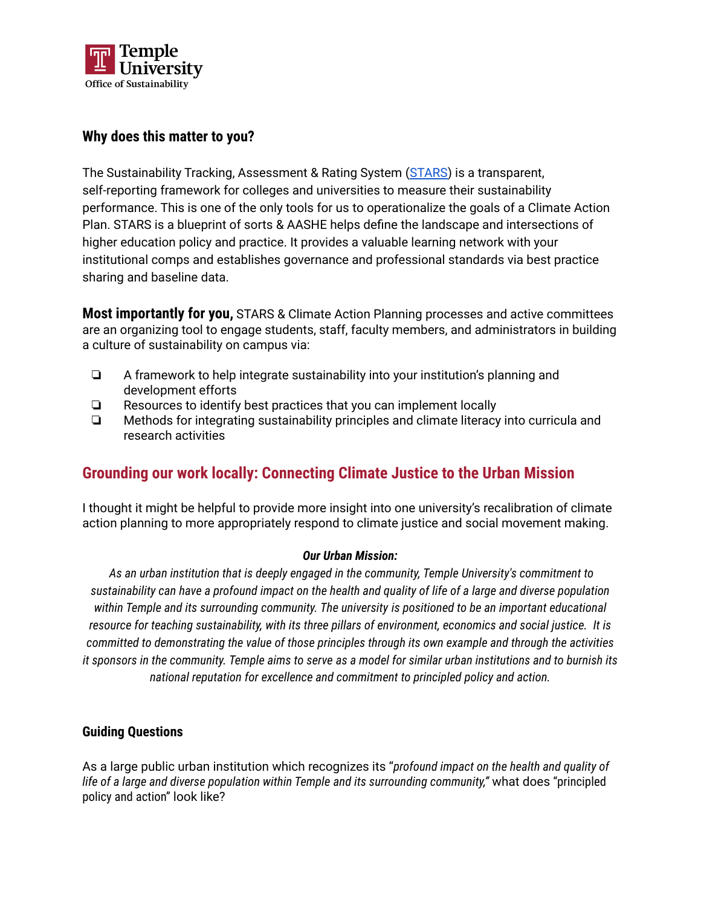

### **Why does this matter to you?**

The Sustainability Tracking, Assessment & Rating System [\(STARS](https://stars.aashe.org)) is a transparent, self-reporting framework for colleges and universities to measure their sustainability performance. This is one of the only tools for us to operationalize the goals of a Climate Action Plan. STARS is a blueprint of sorts & AASHE helps define the landscape and intersections of higher education policy and practice. It provides a valuable learning network with your institutional comps and establishes governance and professional standards via best practice sharing and baseline data.

**Most importantly for you,** STARS & Climate Action Planning processes and active committees are an organizing tool to engage students, staff, faculty members, and administrators in building a culture of sustainability on campus via:

- ❏ A framework to help integrate sustainability into your institution's planning and development efforts
- ❏ Resources to identify best practices that you can implement locally
- ❏ Methods for integrating sustainability principles and climate literacy into curricula and research activities

## **Grounding our work locally: Connecting Climate Justice to the Urban Mission**

I thought it might be helpful to provide more insight into one university's recalibration of climate action planning to more appropriately respond to climate justice and social movement making.

#### *Our Urban Mission:*

*As an urban institution that is deeply engaged in the community, Temple University's commitment to* sustainability can have a profound impact on the health and quality of life of a large and diverse population *within Temple and its surrounding community. The university is positioned to be an important educational resource for teaching sustainability, with its three pillars of environment, economics and social justice. It is committed to demonstrating the value of those principles through its own example and through the activities* it sponsors in the community. Temple aims to serve as a model for similar urban institutions and to burnish its *national reputation for excellence and commitment to principled policy and action.*

#### **Guiding Questions**

As a large public urban institution which recognizes its "*profound impact on the health and quality of life of a large and diverse population within Temple and its surrounding community,"* what does "principled policy and action" look like?